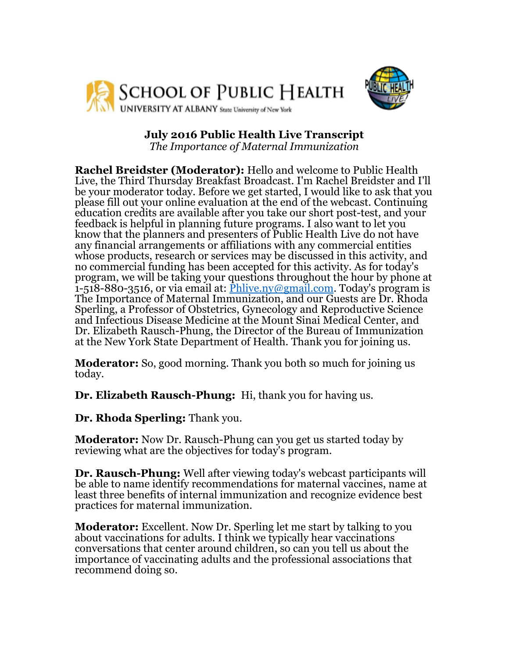



## **July 2016 Public Health Live Transcript**

*The Importance of Maternal Immunization*

**Rachel Breidster (Moderator):** Hello and welcome to Public Health Live, the Third Thursday Breakfast Broadcast. I'm Rachel Breidster and I'll be your moderator today. Before we get started, I would like to ask that you please fill out your online evaluation at the end of the webcast. Continuing education credits are available after you take our short post-test, and your feedback is helpful in planning future programs. I also want to let you know that the planners and presenters of Public Health Live do not have any financial arrangements or affiliations with any commercial entities whose products, research or services may be discussed in this activity, and no commercial funding has been accepted for this activity. As for today's program, we will be taking your questions throughout the hour by phone at 1-518-880-3516, or via email at:  $\frac{\overline{Phlive} \cdot \overline{m} \omega \overline{g} \cdot \overline{m}}{hline}$ . Today's program is The Importance of Maternal Immunization, and our Guests are Dr. Rhoda Sperling, a Professor of Obstetrics, Gynecology and Reproductive Science and Infectious Disease Medicine at the Mount Sinai Medical Center, and Dr. Elizabeth Rausch-Phung, the Director of the Bureau of Immunization at the New York State Department of Health. Thank you for joining us.

**Moderator:** So, good morning. Thank you both so much for joining us today.

**Dr. Elizabeth Rausch-Phung:** Hi, thank you for having us.

**Dr. Rhoda Sperling:** Thank you.

**Moderator:** Now Dr. Rausch-Phung can you get us started today by reviewing what are the objectives for today's program.

**Dr. Rausch-Phung:** Well after viewing today's webcast participants will be able to name identify recommendations for maternal vaccines, name at least three benefits of internal immunization and recognize evidence best practices for maternal immunization.

**Moderator:** Excellent. Now Dr. Sperling let me start by talking to you about vaccinations for adults. I think we typically hear vaccinations conversations that center around children, so can you tell us about the importance of vaccinating adults and the professional associations that recommend doing so.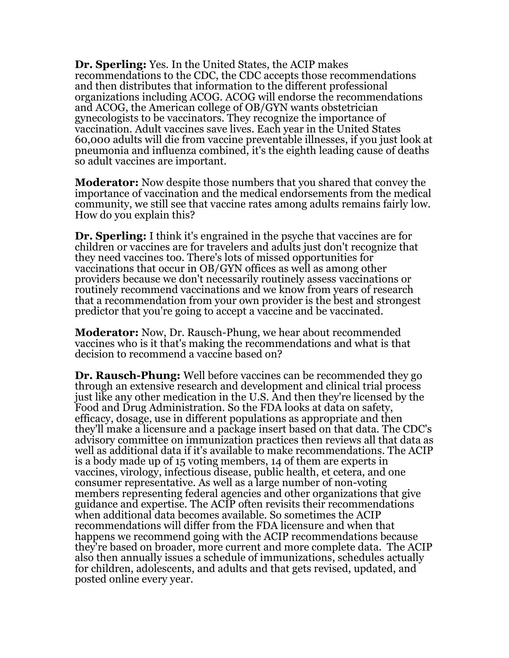**Dr. Sperling:** Yes. In the United States, the ACIP makes recommendations to the CDC, the CDC accepts those recommendations and then distributes that information to the different professional organizations including ACOG. ACOG will endorse the recommendations and ACOG, the American college of OB/GYN wants obstetrician gynecologists to be vaccinators. They recognize the importance of vaccination. Adult vaccines save lives. Each year in the United States 60,000 adults will die from vaccine preventable illnesses, if you just look at pneumonia and influenza combined, it's the eighth leading cause of deaths so adult vaccines are important.

**Moderator:** Now despite those numbers that you shared that convey the importance of vaccination and the medical endorsements from the medical community, we still see that vaccine rates among adults remains fairly low. How do you explain this?

**Dr. Sperling:** I think it's engrained in the psyche that vaccines are for children or vaccines are for travelers and adults just don't recognize that they need vaccines too. There's lots of missed opportunities for vaccinations that occur in OB/GYN offices as well as among other providers because we don't necessarily routinely assess vaccinations or routinely recommend vaccinations and we know from years of research that a recommendation from your own provider is the best and strongest predictor that you're going to accept a vaccine and be vaccinated.

**Moderator:** Now, Dr. Rausch-Phung, we hear about recommended vaccines who is it that's making the recommendations and what is that decision to recommend a vaccine based on?

**Dr. Rausch-Phung:** Well before vaccines can be recommended they go through an extensive research and development and clinical trial process just like any other medication in the U.S. And then they're licensed by the Food and Drug Administration. So the FDA looks at data on safety, efficacy, dosage, use in different populations as appropriate and then they'll make a licensure and a package insert based on that data. The CDC's advisory committee on immunization practices then reviews all that data as well as additional data if it's available to make recommendations. The ACIP is a body made up of 15 voting members, 14 of them are experts in vaccines, virology, infectious disease, public health, et cetera, and one consumer representative. As well as a large number of non-voting members representing federal agencies and other organizations that give guidance and expertise. The ACIP often revisits their recommendations when additional data becomes available. So sometimes the ACIP recommendations will differ from the FDA licensure and when that happens we recommend going with the ACIP recommendations because they're based on broader, more current and more complete data. The ACIP also then annually issues a schedule of immunizations, schedules actually for children, adolescents, and adults and that gets revised, updated, and posted online every year.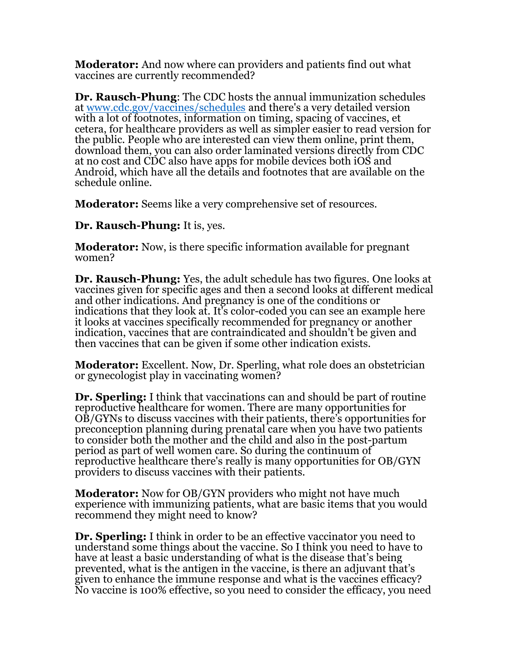**Moderator:** And now where can providers and patients find out what vaccines are currently recommended?

**Dr. Rausch-Phung**: The CDC hosts the annual immunization schedules at [www.cdc.gov/vaccines/schedules](http://www.cdc.gov/vaccines/schedules) and there's a very detailed version with a lot of footnotes, information on timing, spacing of vaccines, et cetera, for healthcare providers as well as simpler easier to read version for the public. People who are interested can view them online, print them, download them, you can also order laminated versions directly from CDC at no cost and CDC also have apps for mobile devices both iOS and Android, which have all the details and footnotes that are available on the schedule online.

**Moderator:** Seems like a very comprehensive set of resources.

**Dr. Rausch-Phung:** It is, yes.

**Moderator:** Now, is there specific information available for pregnant women?

**Dr. Rausch-Phung:** Yes, the adult schedule has two figures. One looks at vaccines given for specific ages and then a second looks at different medical and other indications. And pregnancy is one of the conditions or indications that they look at. It's color-coded you can see an example here it looks at vaccines specifically recommended for pregnancy or another indication, vaccines that are contraindicated and shouldn't be given and then vaccines that can be given if some other indication exists.

**Moderator:** Excellent. Now, Dr. Sperling, what role does an obstetrician or gynecologist play in vaccinating women?

**Dr. Sperling:** I think that vaccinations can and should be part of routine reproductive healthcare for women. There are many opportunities for OB/GYNs to discuss vaccines with their patients, there's opportunities for preconception planning during prenatal care when you have two patients to consider both the mother and the child and also in the post-partum period as part of well women care. So during the continuum of reproductive healthcare there's really is many opportunities for OB/GYN providers to discuss vaccines with their patients.

**Moderator:** Now for OB/GYN providers who might not have much experience with immunizing patients, what are basic items that you would recommend they might need to know?

**Dr. Sperling:** I think in order to be an effective vaccinator you need to understand some things about the vaccine. So I think you need to have to have at least a basic understanding of what is the disease that's being prevented, what is the antigen in the vaccine, is there an adjuvant that's given to enhance the immune response and what is the vaccines efficacy? No vaccine is 100% effective, so you need to consider the efficacy, you need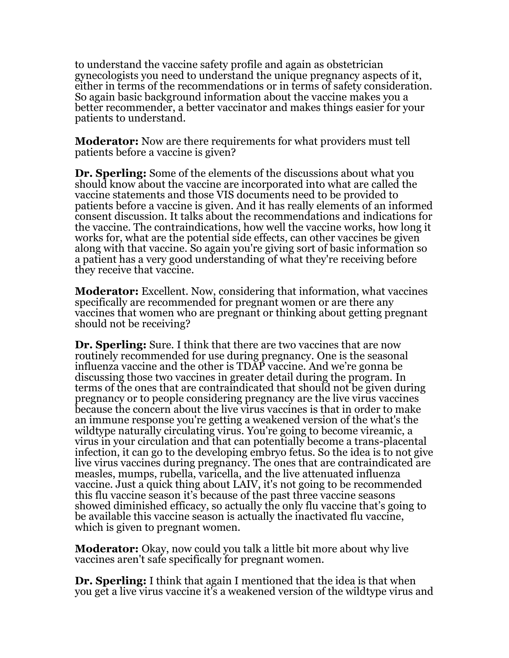to understand the vaccine safety profile and again as obstetrician gynecologists you need to understand the unique pregnancy aspects of it, either in terms of the recommendations or in terms of safety consideration. So again basic background information about the vaccine makes you a better recommender, a better vaccinator and makes things easier for your patients to understand.

**Moderator:** Now are there requirements for what providers must tell patients before a vaccine is given?

**Dr. Sperling:** Some of the elements of the discussions about what you should know about the vaccine are incorporated into what are called the vaccine statements and those VIS documents need to be provided to patients before a vaccine is given. And it has really elements of an informed consent discussion. It talks about the recommendations and indications for the vaccine. The contraindications, how well the vaccine works, how long it works for, what are the potential side effects, can other vaccines be given along with that vaccine. So again you're giving sort of basic information so a patient has a very good understanding of what they're receiving before they receive that vaccine.

**Moderator:** Excellent. Now, considering that information, what vaccines specifically are recommended for pregnant women or are there any vaccines that women who are pregnant or thinking about getting pregnant should not be receiving?

**Dr. Sperling:** Sure. I think that there are two vaccines that are now routinely recommended for use during pregnancy. One is the seasonal influenza vaccine and the other is TDAP vaccine. And we're gonna be discussing those two vaccines in greater detail during the program. In terms of the ones that are contraindicated that should not be given during pregnancy or to people considering pregnancy are the live virus vaccines because the concern about the live virus vaccines is that in order to make an immune response you're getting a weakened version of the what's the wildtype naturally circulating virus. You're going to become vireamic, a virus in your circulation and that can potentially become a trans-placental infection, it can go to the developing embryo fetus. So the idea is to not give live virus vaccines during pregnancy. The ones that are contraindicated are measles, mumps, rubella, varicella, and the live attenuated influenza vaccine. Just a quick thing about LAIV, it's not going to be recommended this flu vaccine season it's because of the past three vaccine seasons showed diminished efficacy, so actually the only flu vaccine that's going to be available this vaccine season is actually the inactivated flu vaccine, which is given to pregnant women.

**Moderator:** Okay, now could you talk a little bit more about why live vaccines aren't safe specifically for pregnant women.

**Dr. Sperling:** I think that again I mentioned that the idea is that when you get a live virus vaccine it's a weakened version of the wildtype virus and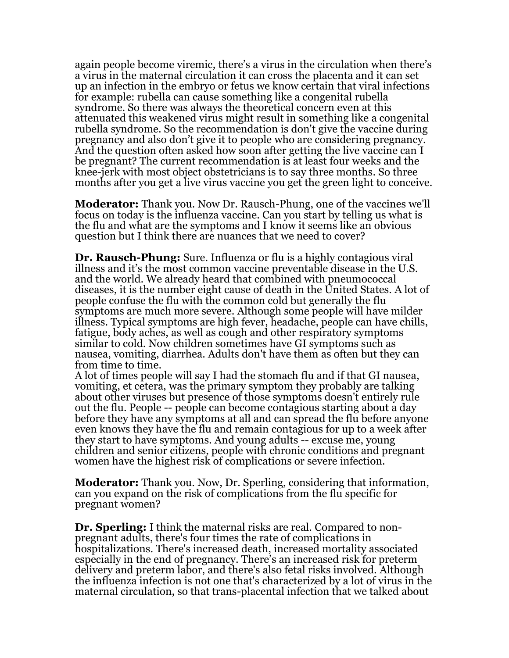again people become viremic, there's a virus in the circulation when there's a virus in the maternal circulation it can cross the placenta and it can set up an infection in the embryo or fetus we know certain that viral infections for example: rubella can cause something like a congenital rubella syndrome. So there was always the theoretical concern even at this attenuated this weakened virus might result in something like a congenital rubella syndrome. So the recommendation is don't give the vaccine during pregnancy and also don't give it to people who are considering pregnancy. And the question often asked how soon after getting the live vaccine can I be pregnant? The current recommendation is at least four weeks and the knee-jerk with most object obstetricians is to say three months. So three months after you get a live virus vaccine you get the green light to conceive.

**Moderator:** Thank you. Now Dr. Rausch-Phung, one of the vaccines we'll focus on today is the influenza vaccine. Can you start by telling us what is the flu and what are the symptoms and I know it seems like an obvious question but I think there are nuances that we need to cover?

**Dr. Rausch-Phung:** Sure. Influenza or flu is a highly contagious viral illness and it's the most common vaccine preventable disease in the U.S. and the world. We already heard that combined with pneumococcal diseases, it is the number eight cause of death in the United States. A lot of people confuse the flu with the common cold but generally the flu symptoms are much more severe. Although some people will have milder illness. Typical symptoms are high fever, headache, people can have chills, fatigue, body aches, as well as cough and other respiratory symptoms similar to cold. Now children sometimes have GI symptoms such as nausea, vomiting, diarrhea. Adults don't have them as often but they can from time to time.

A lot of times people will say I had the stomach flu and if that GI nausea, vomiting, et cetera, was the primary symptom they probably are talking about other viruses but presence of those symptoms doesn't entirely rule out the flu. People -- people can become contagious starting about a day before they have any symptoms at all and can spread the flu before anyone even knows they have the flu and remain contagious for up to a week after they start to have symptoms. And young adults -- excuse me, young children and senior citizens, people with chronic conditions and pregnant women have the highest risk of complications or severe infection.

**Moderator:** Thank you. Now, Dr. Sperling, considering that information, can you expand on the risk of complications from the flu specific for pregnant women?

**Dr. Sperling:** I think the maternal risks are real. Compared to nonpregnant adults, there's four times the rate of complications in hospitalizations. There's increased death, increased mortality associated especially in the end of pregnancy. There's an increased risk for preterm delivery and preterm labor, and there's also fetal risks involved. Although the influenza infection is not one that's characterized by a lot of virus in the maternal circulation, so that trans-placental infection that we talked about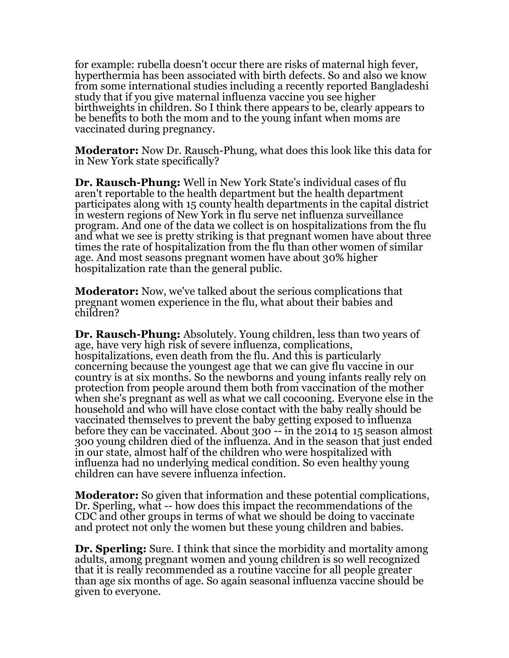for example: rubella doesn't occur there are risks of maternal high fever, hyperthermia has been associated with birth defects. So and also we know from some international studies including a recently reported Bangladeshi study that if you give maternal influenza vaccine you see higher birthweights in children. So I think there appears to be, clearly appears to be benefits to both the mom and to the young infant when moms are vaccinated during pregnancy.

**Moderator:** Now Dr. Rausch-Phung, what does this look like this data for in New York state specifically?

**Dr. Rausch-Phung:** Well in New York State's individual cases of flu aren't reportable to the health department but the health department participates along with 15 county health departments in the capital district in western regions of New York in flu serve net influenza surveillance program. And one of the data we collect is on hospitalizations from the flu and what we see is pretty striking is that pregnant women have about three times the rate of hospitalization from the flu than other women of similar age. And most seasons pregnant women have about 30% higher hospitalization rate than the general public.

**Moderator:** Now, we've talked about the serious complications that pregnant women experience in the flu, what about their babies and children?

**Dr. Rausch-Phung:** Absolutely. Young children, less than two years of age, have very high risk of severe influenza, complications, hospitalizations, even death from the flu. And this is particularly concerning because the youngest age that we can give flu vaccine in our country is at six months. So the newborns and young infants really rely on protection from people around them both from vaccination of the mother when she's pregnant as well as what we call cocooning. Everyone else in the household and who will have close contact with the baby really should be vaccinated themselves to prevent the baby getting exposed to influenza before they can be vaccinated. About 300 -- in the 2014 to 15 season almost 300 young children died of the influenza. And in the season that just ended in our state, almost half of the children who were hospitalized with influenza had no underlying medical condition. So even healthy young children can have severe influenza infection.

**Moderator:** So given that information and these potential complications, Dr. Sperling, what -- how does this impact the recommendations of the CDC and other groups in terms of what we should be doing to vaccinate and protect not only the women but these young children and babies.

**Dr. Sperling:** Sure. I think that since the morbidity and mortality among adults, among pregnant women and young children is so well recognized that it is really recommended as a routine vaccine for all people greater than age six months of age. So again seasonal influenza vaccine should be given to everyone.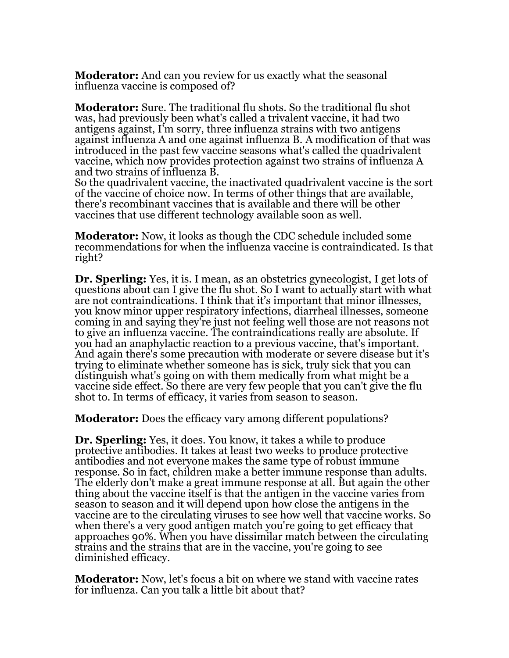**Moderator:** And can you review for us exactly what the seasonal influenza vaccine is composed of?

**Moderator:** Sure. The traditional flu shots. So the traditional flu shot was, had previously been what's called a trivalent vaccine, it had two antigens against, I'm sorry, three influenza strains with two antigens against influenza A and one against influenza B. A modification of that was introduced in the past few vaccine seasons what's called the quadrivalent vaccine, which now provides protection against two strains of influenza A and two strains of influenza B.

So the quadrivalent vaccine, the inactivated quadrivalent vaccine is the sort of the vaccine of choice now. In terms of other things that are available, there's recombinant vaccines that is available and there will be other vaccines that use different technology available soon as well.

**Moderator:** Now, it looks as though the CDC schedule included some recommendations for when the influenza vaccine is contraindicated. Is that right?

**Dr. Sperling:** Yes, it is. I mean, as an obstetrics gynecologist, I get lots of questions about can I give the flu shot. So I want to actually start with what are not contraindications. I think that it's important that minor illnesses, you know minor upper respiratory infections, diarrheal illnesses, someone coming in and saying they're just not feeling well those are not reasons not to give an influenza vaccine. The contraindications really are absolute. If you had an anaphylactic reaction to a previous vaccine, that's important. And again there's some precaution with moderate or severe disease but it's trying to eliminate whether someone has is sick, truly sick that you can distinguish what's going on with them medically from what might be a vaccine side effect. So there are very few people that you can't give the flu shot to. In terms of efficacy, it varies from season to season.

**Moderator:** Does the efficacy vary among different populations?

**Dr. Sperling:** Yes, it does. You know, it takes a while to produce protective antibodies. It takes at least two weeks to produce protective antibodies and not everyone makes the same type of robust immune response. So in fact, children make a better immune response than adults. The elderly don't make a great immune response at all. But again the other thing about the vaccine itself is that the antigen in the vaccine varies from season to season and it will depend upon how close the antigens in the vaccine are to the circulating viruses to see how well that vaccine works. So when there's a very good antigen match you're going to get efficacy that approaches 90%. When you have dissimilar match between the circulating strains and the strains that are in the vaccine, you're going to see diminished efficacy.

**Moderator:** Now, let's focus a bit on where we stand with vaccine rates for influenza. Can you talk a little bit about that?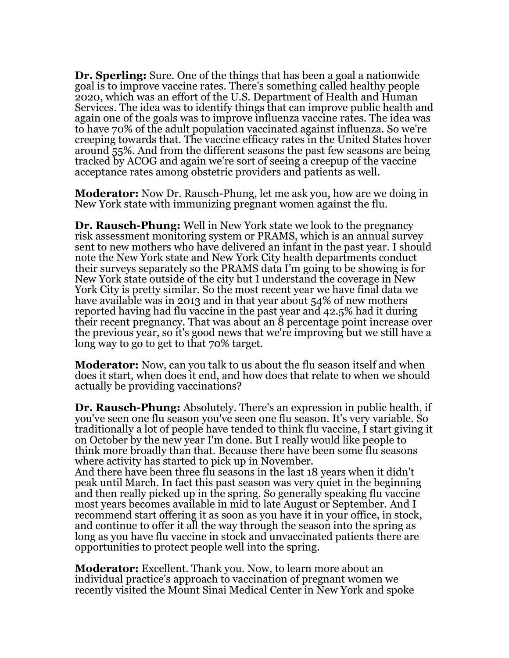**Dr. Sperling:** Sure. One of the things that has been a goal a nationwide goal is to improve vaccine rates. There's something called healthy people 2020, which was an effort of the U.S. Department of Health and Human Services. The idea was to identify things that can improve public health and again one of the goals was to improve influenza vaccine rates. The idea was to have 70% of the adult population vaccinated against influenza. So we're creeping towards that. The vaccine efficacy rates in the United States hover around 55%. And from the different seasons the past few seasons are being tracked by ACOG and again we're sort of seeing a creepup of the vaccine acceptance rates among obstetric providers and patients as well.

**Moderator:** Now Dr. Rausch-Phung, let me ask you, how are we doing in New York state with immunizing pregnant women against the flu.

**Dr. Rausch-Phung:** Well in New York state we look to the pregnancy risk assessment monitoring system or PRAMS, which is an annual survey sent to new mothers who have delivered an infant in the past year. I should note the New York state and New York City health departments conduct their surveys separately so the PRAMS data I'm going to be showing is for New York state outside of the city but I understand the coverage in New York City is pretty similar. So the most recent year we have final data we have available was in 2013 and in that year about 54% of new mothers reported having had flu vaccine in the past year and 42.5% had it during their recent pregnancy. That was about an 8 percentage point increase over the previous year, so it's good news that we're improving but we still have a long way to go to get to that 70% target.

**Moderator:** Now, can you talk to us about the flu season itself and when does it start, when does it end, and how does that relate to when we should actually be providing vaccinations?

**Dr. Rausch-Phung:** Absolutely. There's an expression in public health, if you've seen one flu season you've seen one flu season. It's very variable. So traditionally a lot of people have tended to think flu vaccine, I start giving it on October by the new year I'm done. But I really would like people to think more broadly than that. Because there have been some flu seasons where activity has started to pick up in November.

And there have been three flu seasons in the last 18 years when it didn't peak until March. In fact this past season was very quiet in the beginning and then really picked up in the spring. So generally speaking flu vaccine most years becomes available in mid to late August or September. And I recommend start offering it as soon as you have it in your office, in stock, and continue to offer it all the way through the season into the spring as long as you have flu vaccine in stock and unvaccinated patients there are opportunities to protect people well into the spring.

**Moderator:** Excellent. Thank you. Now, to learn more about an individual practice's approach to vaccination of pregnant women we recently visited the Mount Sinai Medical Center in New York and spoke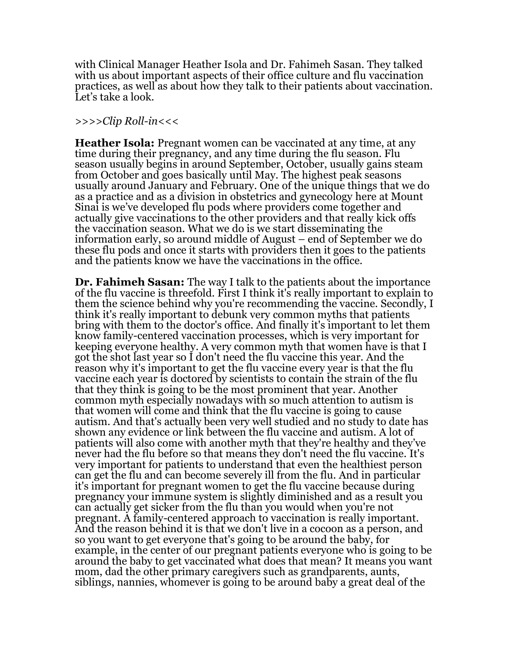with Clinical Manager Heather Isola and Dr. Fahimeh Sasan. They talked with us about important aspects of their office culture and flu vaccination practices, as well as about how they talk to their patients about vaccination. Let's take a look.

## *>>>>Clip Roll-in<<<*

**Heather Isola:** Pregnant women can be vaccinated at any time, at any time during their pregnancy, and any time during the flu season. Flu season usually begins in around September, October, usually gains steam from October and goes basically until May. The highest peak seasons usually around January and February. One of the unique things that we do as a practice and as a division in obstetrics and gynecology here at Mount Sinai is we've developed flu pods where providers come together and actually give vaccinations to the other providers and that really kick offs the vaccination season. What we do is we start disseminating the information early, so around middle of August – end of September we do these flu pods and once it starts with providers then it goes to the patients and the patients know we have the vaccinations in the office.

**Dr. Fahimeh Sasan:** The way I talk to the patients about the importance of the flu vaccine is threefold. First I think it's really important to explain to them the science behind why you're recommending the vaccine. Secondly, I think it's really important to debunk very common myths that patients bring with them to the doctor's office. And finally it's important to let them know family-centered vaccination processes, which is very important for keeping everyone healthy. A very common myth that women have is that I got the shot last year so I don't need the flu vaccine this year. And the reason why it's important to get the flu vaccine every year is that the flu vaccine each year is doctored by scientists to contain the strain of the flu that they think is going to be the most prominent that year. Another common myth especially nowadays with so much attention to autism is that women will come and think that the flu vaccine is going to cause autism. And that's actually been very well studied and no study to date has shown any evidence or link between the flu vaccine and autism. A lot of patients will also come with another myth that they're healthy and they've never had the flu before so that means they don't need the flu vaccine. It's very important for patients to understand that even the healthiest person can get the flu and can become severely ill from the flu. And in particular it's important for pregnant women to get the flu vaccine because during pregnancy your immune system is slightly diminished and as a result you can actually get sicker from the flu than you would when you're not pregnant. A family-centered approach to vaccination is really important. And the reason behind it is that we don't live in a cocoon as a person, and so you want to get everyone that's going to be around the baby, for example, in the center of our pregnant patients everyone who is going to be around the baby to get vaccinated what does that mean? It means you want mom, dad the other primary caregivers such as grandparents, aunts, siblings, nannies, whomever is going to be around baby a great deal of the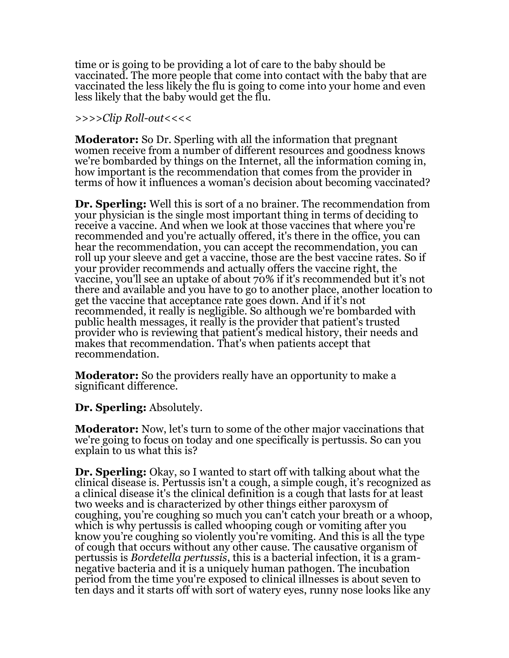time or is going to be providing a lot of care to the baby should be vaccinated. The more people that come into contact with the baby that are vaccinated the less likely the flu is going to come into your home and even less likely that the baby would get the flu.

## *>>>>Clip Roll-out<<<<*

**Moderator:** So Dr. Sperling with all the information that pregnant women receive from a number of different resources and goodness knows we're bombarded by things on the Internet, all the information coming in, how important is the recommendation that comes from the provider in terms of how it influences a woman's decision about becoming vaccinated?

**Dr. Sperling:** Well this is sort of a no brainer. The recommendation from your physician is the single most important thing in terms of deciding to receive a vaccine. And when we look at those vaccines that where you're recommended and you're actually offered, it's there in the office, you can hear the recommendation, you can accept the recommendation, you can roll up your sleeve and get a vaccine, those are the best vaccine rates. So if your provider recommends and actually offers the vaccine right, the vaccine, you'll see an uptake of about 70% if it's recommended but it's not there and available and you have to go to another place, another location to get the vaccine that acceptance rate goes down. And if it's not recommended, it really is negligible. So although we're bombarded with public health messages, it really is the provider that patient's trusted provider who is reviewing that patient's medical history, their needs and makes that recommendation. That's when patients accept that recommendation.

**Moderator:** So the providers really have an opportunity to make a significant difference.

**Dr. Sperling:** Absolutely.

**Moderator:** Now, let's turn to some of the other major vaccinations that we're going to focus on today and one specifically is pertussis. So can you explain to us what this is?

**Dr. Sperling:** Okay, so I wanted to start off with talking about what the clinical disease is. Pertussis isn't a cough, a simple cough, it's recognized as a clinical disease it's the clinical definition is a cough that lasts for at least two weeks and is characterized by other things either paroxysm of coughing, you're coughing so much you can't catch your breath or a whoop, which is why pertussis is called whooping cough or vomiting after you know you're coughing so violently you're vomiting. And this is all the type of cough that occurs without any other cause. The causative organism of pertussis is *Bordetella pertussis*, this is a bacterial infection, it is a gramnegative bacteria and it is a uniquely human pathogen. The incubation period from the time you're exposed to clinical illnesses is about seven to ten days and it starts off with sort of watery eyes, runny nose looks like any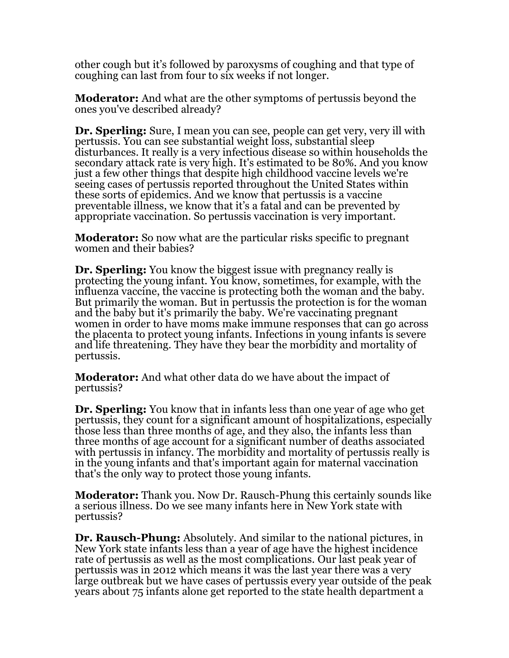other cough but it's followed by paroxysms of coughing and that type of coughing can last from four to six weeks if not longer.

**Moderator:** And what are the other symptoms of pertussis beyond the ones you've described already?

**Dr. Sperling:** Sure, I mean you can see, people can get very, very ill with pertussis. You can see substantial weight loss, substantial sleep disturbances. It really is a very infectious disease so within households the secondary attack rate is very high. It's estimated to be 80%. And you know just a few other things that despite high childhood vaccine levels we're seeing cases of pertussis reported throughout the United States within these sorts of epidemics. And we know that pertussis is a vaccine preventable illness, we know that it's a fatal and can be prevented by appropriate vaccination. So pertussis vaccination is very important.

**Moderator:** So now what are the particular risks specific to pregnant women and their babies?

**Dr. Sperling:** You know the biggest issue with pregnancy really is protecting the young infant. You know, sometimes, for example, with the influenza vaccine, the vaccine is protecting both the woman and the baby. But primarily the woman. But in pertussis the protection is for the woman and the baby but it's primarily the baby. We're vaccinating pregnant women in order to have moms make immune responses that can go across the placenta to protect young infants. Infections in young infants is severe and life threatening. They have they bear the morbidity and mortality of pertussis.

**Moderator:** And what other data do we have about the impact of pertussis?

**Dr. Sperling:** You know that in infants less than one year of age who get pertussis, they count for a significant amount of hospitalizations, especially those less than three months of age, and they also, the infants less than three months of age account for a significant number of deaths associated with pertussis in infancy. The morbidity and mortality of pertussis really is in the young infants and that's important again for maternal vaccination that's the only way to protect those young infants.

**Moderator:** Thank you. Now Dr. Rausch-Phung this certainly sounds like a serious illness. Do we see many infants here in New York state with pertussis?

**Dr. Rausch-Phung:** Absolutely. And similar to the national pictures, in New York state infants less than a year of age have the highest incidence rate of pertussis as well as the most complications. Our last peak year of pertussis was in 2012 which means it was the last year there was a very large outbreak but we have cases of pertussis every year outside of the peak years about 75 infants alone get reported to the state health department a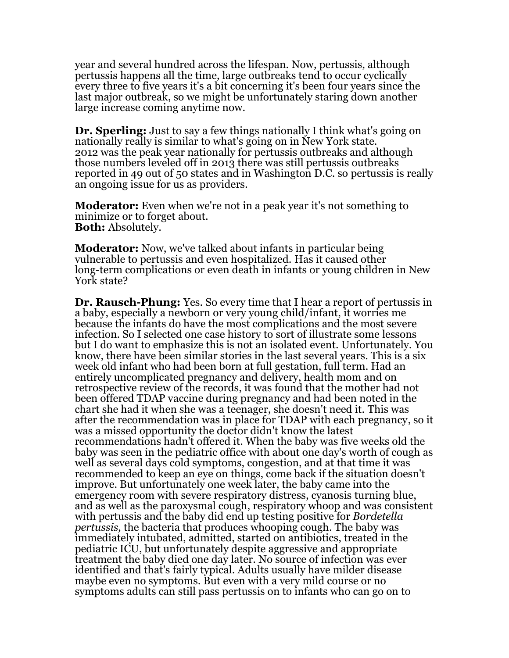year and several hundred across the lifespan. Now, pertussis, although pertussis happens all the time, large outbreaks tend to occur cyclically every three to five years it's a bit concerning it's been four years since the last major outbreak, so we might be unfortunately staring down another large increase coming anytime now.

**Dr. Sperling:** Just to say a few things nationally I think what's going on nationally really is similar to what's going on in New York state. 2012 was the peak year nationally for pertussis outbreaks and although those numbers leveled off in 2013 there was still pertussis outbreaks reported in 49 out of 50 states and in Washington D.C. so pertussis is really an ongoing issue for us as providers.

**Moderator:** Even when we're not in a peak year it's not something to minimize or to forget about. **Both:** Absolutely.

**Moderator:** Now, we've talked about infants in particular being vulnerable to pertussis and even hospitalized. Has it caused other long-term complications or even death in infants or young children in New York state?

**Dr. Rausch-Phung:** Yes. So every time that I hear a report of pertussis in a baby, especially a newborn or very young child/infant, it worries me because the infants do have the most complications and the most severe infection. So I selected one case history to sort of illustrate some lessons but I do want to emphasize this is not an isolated event. Unfortunately. You know, there have been similar stories in the last several years. This is a six week old infant who had been born at full gestation, full term. Had an entirely uncomplicated pregnancy and delivery, health mom and on retrospective review of the records, it was found that the mother had not been offered TDAP vaccine during pregnancy and had been noted in the chart she had it when she was a teenager, she doesn't need it. This was after the recommendation was in place for TDAP with each pregnancy, so it was a missed opportunity the doctor didn't know the latest recommendations hadn't offered it. When the baby was five weeks old the baby was seen in the pediatric office with about one day's worth of cough as well as several days cold symptoms, congestion, and at that time it was recommended to keep an eye on things, come back if the situation doesn't improve. But unfortunately one week later, the baby came into the emergency room with severe respiratory distress, cyanosis turning blue, and as well as the paroxysmal cough, respiratory whoop and was consistent with pertussis and the baby did end up testing positive for *Bordetella pertussis,* the bacteria that produces whooping cough. The baby was immediately intubated, admitted, started on antibiotics, treated in the pediatric ICU, but unfortunately despite aggressive and appropriate treatment the baby died one day later. No source of infection was ever identified and that's fairly typical. Adults usually have milder disease maybe even no symptoms. But even with a very mild course or no symptoms adults can still pass pertussis on to infants who can go on to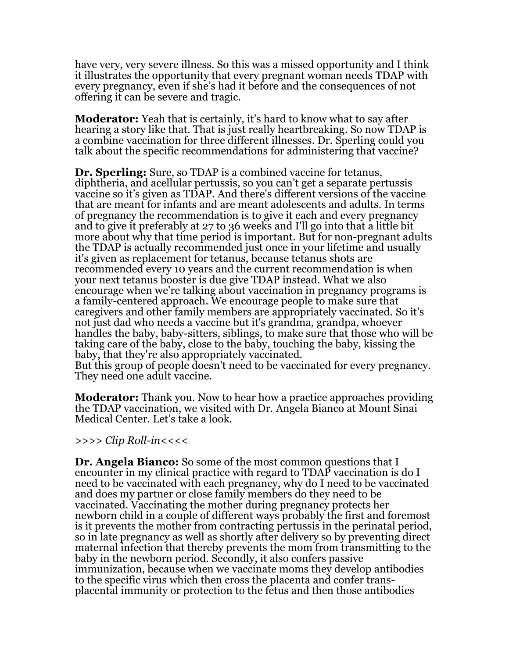have very, very severe illness. So this was a missed opportunity and I think it illustrates the opportunity that every pregnant woman needs TDAP with every pregnancy, even if she's had it before and the consequences of not offering it can be severe and tragic.

**Moderator:** Yeah that is certainly, it's hard to know what to say after hearing a story like that. That is just really heartbreaking. So now TDAP is a combine vaccination for three different illnesses. Dr. Sperling could you talk about the specific recommendations for administering that vaccine?

**Dr. Sperling:** Sure, so TDAP is a combined vaccine for tetanus, diphtheria, and acellular pertussis, so you can't get a separate pertussis vaccine so it's given as TDAP. And there's different versions of the vaccine that are meant for infants and are meant adolescents and adults. In terms of pregnancy the recommendation is to give it each and every pregnancy and to give it preferably at 27 to 36 weeks and I'll go into that a little bit more about why that time period is important. But for non-pregnant adults the TDAP is actually recommended just once in your lifetime and usually it's given as replacement for tetanus, because tetanus shots are recommended every 10 years and the current recommendation is when your next tetanus booster is due give TDAP instead. What we also encourage when we're talking about vaccination in pregnancy programs is a family-centered approach. We encourage people to make sure that caregivers and other family members are appropriately vaccinated. So it's not just dad who needs a vaccine but it's grandma, grandpa, whoever handles the baby, baby-sitters, siblings, to make sure that those who will be taking care of the baby, close to the baby, touching the baby, kissing the baby, that they're also appropriately vaccinated. But this group of people doesn't need to be vaccinated for every pregnancy.

They need one adult vaccine.

**Moderator:** Thank you. Now to hear how a practice approaches providing the TDAP vaccination, we visited with Dr. Angela Bianco at Mount Sinai Medical Center. Let's take a look.

*>>>> Clip Roll-in<<<<*

**Dr. Angela Bianco:** So some of the most common questions that I encounter in my clinical practice with regard to TDAP vaccination is do I need to be vaccinated with each pregnancy, why do I need to be vaccinated and does my partner or close family members do they need to be vaccinated. Vaccinating the mother during pregnancy protects her newborn child in a couple of different ways probably the first and foremost is it prevents the mother from contracting pertussis in the perinatal period, so in late pregnancy as well as shortly after delivery so by preventing direct maternal infection that thereby prevents the mom from transmitting to the baby in the newborn period. Secondly, it also confers passive immunization, because when we vaccinate moms they develop antibodies to the specific virus which then cross the placenta and confer transplacental immunity or protection to the fetus and then those antibodies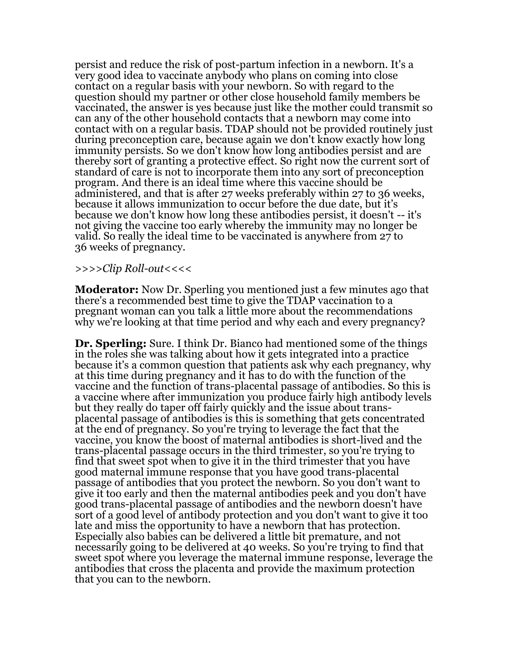persist and reduce the risk of post-partum infection in a newborn. It's a very good idea to vaccinate anybody who plans on coming into close contact on a regular basis with your newborn. So with regard to the question should my partner or other close household family members be vaccinated, the answer is yes because just like the mother could transmit so can any of the other household contacts that a newborn may come into contact with on a regular basis. TDAP should not be provided routinely just during preconception care, because again we don't know exactly how long immunity persists. So we don't know how long antibodies persist and are thereby sort of granting a protective effect. So right now the current sort of standard of care is not to incorporate them into any sort of preconception program. And there is an ideal time where this vaccine should be administered, and that is after 27 weeks preferably within 27 to 36 weeks, because it allows immunization to occur before the due date, but it's because we don't know how long these antibodies persist, it doesn't -- it's not giving the vaccine too early whereby the immunity may no longer be valid. So really the ideal time to be vaccinated is anywhere from 27 to 36 weeks of pregnancy.

*>>>>Clip Roll-out<<<<*

**Moderator:** Now Dr. Sperling you mentioned just a few minutes ago that there's a recommended best time to give the TDAP vaccination to a pregnant woman can you talk a little more about the recommendations why we're looking at that time period and why each and every pregnancy?

**Dr. Sperling:** Sure. I think Dr. Bianco had mentioned some of the things in the roles she was talking about how it gets integrated into a practice because it's a common question that patients ask why each pregnancy, why at this time during pregnancy and it has to do with the function of the vaccine and the function of trans-placental passage of antibodies. So this is a vaccine where after immunization you produce fairly high antibody levels but they really do taper off fairly quickly and the issue about transplacental passage of antibodies is this is something that gets concentrated at the end of pregnancy. So you're trying to leverage the fact that the vaccine, you know the boost of maternal antibodies is short-lived and the trans-placental passage occurs in the third trimester, so you're trying to find that sweet spot when to give it in the third trimester that you have good maternal immune response that you have good trans-placental passage of antibodies that you protect the newborn. So you don't want to give it too early and then the maternal antibodies peek and you don't have good trans-placental passage of antibodies and the newborn doesn't have sort of a good level of antibody protection and you don't want to give it too late and miss the opportunity to have a newborn that has protection. Especially also babies can be delivered a little bit premature, and not necessarily going to be delivered at 40 weeks. So you're trying to find that sweet spot where you leverage the maternal immune response, leverage the antibodies that cross the placenta and provide the maximum protection that you can to the newborn.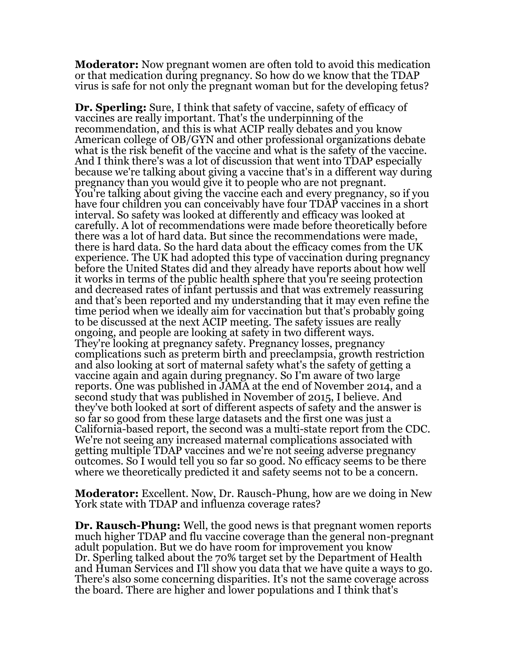**Moderator:** Now pregnant women are often told to avoid this medication or that medication during pregnancy. So how do we know that the TDAP virus is safe for not only the pregnant woman but for the developing fetus?

**Dr. Sperling:** Sure, I think that safety of vaccine, safety of efficacy of vaccines are really important. That's the underpinning of the recommendation, and this is what ACIP really debates and you know American college of OB/GYN and other professional organizations debate what is the risk benefit of the vaccine and what is the safety of the vaccine. And I think there's was a lot of discussion that went into TDAP especially because we're talking about giving a vaccine that's in a different way during pregnancy than you would give it to people who are not pregnant. You're talking about giving the vaccine each and every pregnancy, so if you have four children you can conceivably have four TDAP vaccines in a short interval. So safety was looked at differently and efficacy was looked at carefully. A lot of recommendations were made before theoretically before there was a lot of hard data. But since the recommendations were made, there is hard data. So the hard data about the efficacy comes from the UK experience. The UK had adopted this type of vaccination during pregnancy before the United States did and they already have reports about how well it works in terms of the public health sphere that you're seeing protection and decreased rates of infant pertussis and that was extremely reassuring and that's been reported and my understanding that it may even refine the time period when we ideally aim for vaccination but that's probably going to be discussed at the next ACIP meeting. The safety issues are really ongoing, and people are looking at safety in two different ways. They're looking at pregnancy safety. Pregnancy losses, pregnancy complications such as preterm birth and preeclampsia, growth restriction and also looking at sort of maternal safety what's the safety of getting a vaccine again and again during pregnancy. So I'm aware of two large reports. One was published in JAMA at the end of November 2014, and a second study that was published in November of 2015, I believe. And they've both looked at sort of different aspects of safety and the answer is so far so good from these large datasets and the first one was just a California-based report, the second was a multi-state report from the CDC. We're not seeing any increased maternal complications associated with getting multiple TDAP vaccines and we're not seeing adverse pregnancy outcomes. So I would tell you so far so good. No efficacy seems to be there where we theoretically predicted it and safety seems not to be a concern.

**Moderator:** Excellent. Now, Dr. Rausch-Phung, how are we doing in New York state with TDAP and influenza coverage rates?

**Dr. Rausch-Phung:** Well, the good news is that pregnant women reports much higher TDAP and flu vaccine coverage than the general non-pregnant adult population. But we do have room for improvement you know Dr. Sperling talked about the 70% target set by the Department of Health and Human Services and I'll show you data that we have quite a ways to go. There's also some concerning disparities. It's not the same coverage across the board. There are higher and lower populations and I think that's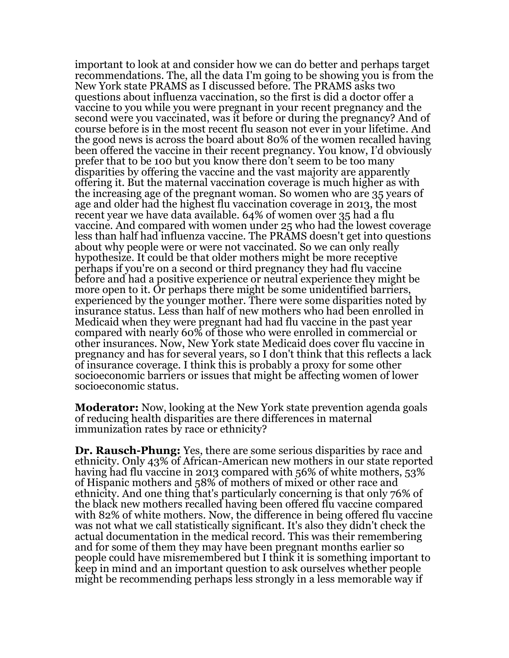important to look at and consider how we can do better and perhaps target recommendations. The, all the data I'm going to be showing you is from the New York state PRAMS as I discussed before. The PRAMS asks two questions about influenza vaccination, so the first is did a doctor offer a vaccine to you while you were pregnant in your recent pregnancy and the second were you vaccinated, was it before or during the pregnancy? And of course before is in the most recent flu season not ever in your lifetime. And the good news is across the board about 80% of the women recalled having been offered the vaccine in their recent pregnancy. You know, I'd obviously prefer that to be 100 but you know there don't seem to be too many disparities by offering the vaccine and the vast majority are apparently offering it. But the maternal vaccination coverage is much higher as with the increasing age of the pregnant woman. So women who are 35 years of age and older had the highest flu vaccination coverage in 2013, the most recent year we have data available. 64% of women over 35 had a flu vaccine. And compared with women under 25 who had the lowest coverage less than half had influenza vaccine. The PRAMS doesn't get into questions about why people were or were not vaccinated. So we can only really hypothesize. It could be that older mothers might be more receptive perhaps if you're on a second or third pregnancy they had flu vaccine before and had a positive experience or neutral experience they might be more open to it. Or perhaps there might be some unidentified barriers, experienced by the younger mother. There were some disparities noted by insurance status. Less than half of new mothers who had been enrolled in Medicaid when they were pregnant had had flu vaccine in the past year compared with nearly 60% of those who were enrolled in commercial or other insurances. Now, New York state Medicaid does cover flu vaccine in pregnancy and has for several years, so I don't think that this reflects a lack of insurance coverage. I think this is probably a proxy for some other socioeconomic barriers or issues that might be affecting women of lower socioeconomic status.

**Moderator:** Now, looking at the New York state prevention agenda goals of reducing health disparities are there differences in maternal immunization rates by race or ethnicity?

**Dr. Rausch-Phung:** Yes, there are some serious disparities by race and ethnicity. Only 43% of African-American new mothers in our state reported having had flu vaccine in 2013 compared with 56% of white mothers, 53% of Hispanic mothers and 58% of mothers of mixed or other race and ethnicity. And one thing that's particularly concerning is that only 76% of the black new mothers recalled having been offered flu vaccine compared with 82% of white mothers. Now, the difference in being offered flu vaccine was not what we call statistically significant. It's also they didn't check the actual documentation in the medical record. This was their remembering and for some of them they may have been pregnant months earlier so people could have misremembered but I think it is something important to keep in mind and an important question to ask ourselves whether people might be recommending perhaps less strongly in a less memorable way if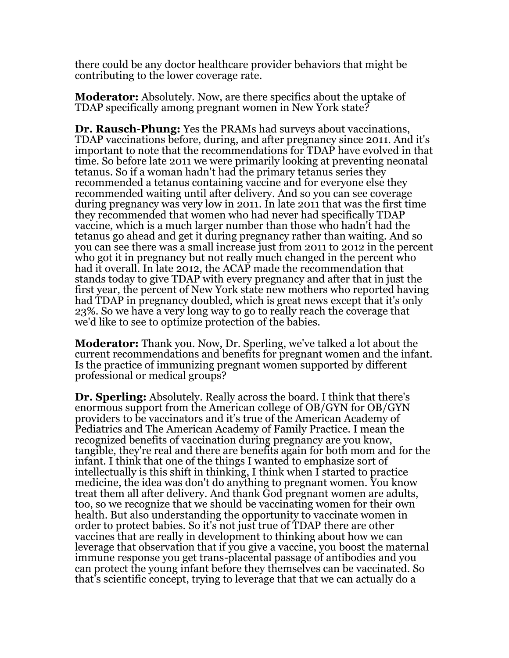there could be any doctor healthcare provider behaviors that might be contributing to the lower coverage rate.

**Moderator:** Absolutely. Now, are there specifics about the uptake of TDAP specifically among pregnant women in New York state?

**Dr. Rausch-Phung:** Yes the PRAMs had surveys about vaccinations, TDAP vaccinations before, during, and after pregnancy since 2011. And it's important to note that the recommendations for TDAP have evolved in that time. So before late 2011 we were primarily looking at preventing neonatal tetanus. So if a woman hadn't had the primary tetanus series they recommended a tetanus containing vaccine and for everyone else they recommended waiting until after delivery. And so you can see coverage during pregnancy was very low in 2011. In late 2011 that was the first time they recommended that women who had never had specifically TDAP vaccine, which is a much larger number than those who hadn't had the tetanus go ahead and get it during pregnancy rather than waiting. And so you can see there was a small increase just from 2011 to 2012 in the percent who got it in pregnancy but not really much changed in the percent who had it overall. In late 2012, the ACAP made the recommendation that stands today to give TDAP with every pregnancy and after that in just the first year, the percent of New York state new mothers who reported having had TDAP in pregnancy doubled, which is great news except that it's only 23%. So we have a very long way to go to really reach the coverage that we'd like to see to optimize protection of the babies.

**Moderator:** Thank you. Now, Dr. Sperling, we've talked a lot about the current recommendations and benefits for pregnant women and the infant. Is the practice of immunizing pregnant women supported by different professional or medical groups?

**Dr. Sperling:** Absolutely. Really across the board. I think that there's enormous support from the American college of OB/GYN for OB/GYN providers to be vaccinators and it's true of the American Academy of Pediatrics and The American Academy of Family Practice. I mean the recognized benefits of vaccination during pregnancy are you know, tangible, they're real and there are benefits again for both mom and for the infant. I think that one of the things I wanted to emphasize sort of intellectually is this shift in thinking, I think when I started to practice medicine, the idea was don't do anything to pregnant women. You know treat them all after delivery. And thank God pregnant women are adults, too, so we recognize that we should be vaccinating women for their own health. But also understanding the opportunity to vaccinate women in order to protect babies. So it's not just true of TDAP there are other vaccines that are really in development to thinking about how we can leverage that observation that if you give a vaccine, you boost the maternal immune response you get trans-placental passage of antibodies and you can protect the young infant before they themselves can be vaccinated. So that's scientific concept, trying to leverage that that we can actually do a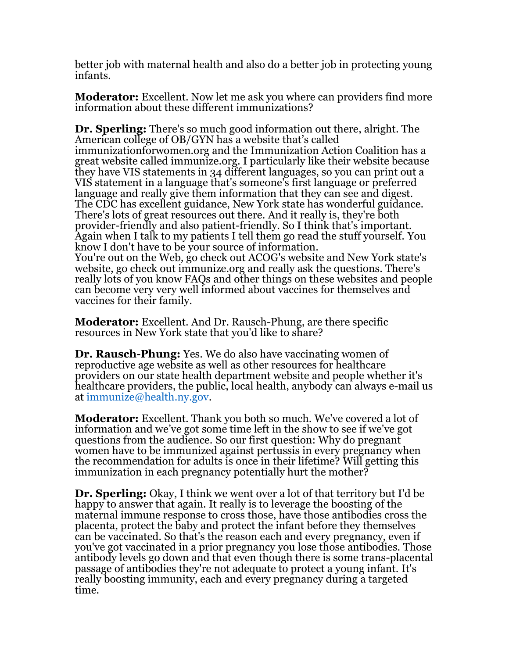better job with maternal health and also do a better job in protecting young infants.

**Moderator:** Excellent. Now let me ask you where can providers find more information about these different immunizations?

**Dr. Sperling:** There's so much good information out there, alright. The American college of OB/GYN has a website that's called immunizationforwomen.org and the Immunization Action Coalition has a great website called immunize.org. I particularly like their website because they have VIS statements in 34 different languages, so you can print out a VIS statement in a language that's someone's first language or preferred language and really give them information that they can see and digest. The CDC has excellent guidance, New York state has wonderful guidance. There's lots of great resources out there. And it really is, they're both provider-friendly and also patient-friendly. So I think that's important. Again when I talk to my patients I tell them go read the stuff yourself. You know I don't have to be your source of information. You're out on the Web, go check out ACOG's website and New York state's website, go check out immunize.org and really ask the questions. There's really lots of you know FAQs and other things on these websites and people can become very very well informed about vaccines for themselves and

vaccines for their family.

**Moderator:** Excellent. And Dr. Rausch-Phung, are there specific resources in New York state that you'd like to share?

**Dr. Rausch-Phung:** Yes. We do also have vaccinating women of reproductive age website as well as other resources for healthcare providers on our state health department website and people whether it's healthcare providers, the public, local health, anybody can always e-mail us at [immunize@health.ny.gov.](mailto:immunize@health.ny.gov)

**Moderator:** Excellent. Thank you both so much. We've covered a lot of information and we've got some time left in the show to see if we've got questions from the audience. So our first question: Why do pregnant women have to be immunized against pertussis in every pregnancy when the recommendation for adults is once in their lifetime? Will getting this immunization in each pregnancy potentially hurt the mother?

**Dr. Sperling:** Okay, I think we went over a lot of that territory but I'd be happy to answer that again. It really is to leverage the boosting of the maternal immune response to cross those, have those antibodies cross the placenta, protect the baby and protect the infant before they themselves can be vaccinated. So that's the reason each and every pregnancy, even if you've got vaccinated in a prior pregnancy you lose those antibodies. Those antibody levels go down and that even though there is some trans-placental passage of antibodies they're not adequate to protect a young infant. It's really boosting immunity, each and every pregnancy during a targeted time.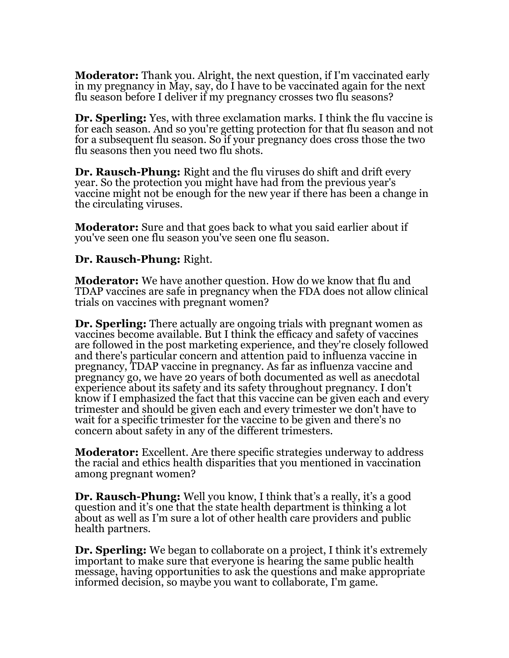**Moderator:** Thank you. Alright, the next question, if I'm vaccinated early in my pregnancy in May, say, do I have to be vaccinated again for the next flu season before I deliver if my pregnancy crosses two flu seasons?

**Dr. Sperling:** Yes, with three exclamation marks. I think the flu vaccine is for each season. And so you're getting protection for that flu season and not for a subsequent flu season. So if your pregnancy does cross those the two flu seasons then you need two flu shots.

**Dr. Rausch-Phung:** Right and the flu viruses do shift and drift every year. So the protection you might have had from the previous year's vaccine might not be enough for the new year if there has been a change in the circulating viruses.

**Moderator:** Sure and that goes back to what you said earlier about if you've seen one flu season you've seen one flu season.

## **Dr. Rausch-Phung:** Right.

**Moderator:** We have another question. How do we know that flu and TDAP vaccines are safe in pregnancy when the FDA does not allow clinical trials on vaccines with pregnant women?

**Dr. Sperling:** There actually are ongoing trials with pregnant women as vaccines become available. But I think the efficacy and safety of vaccines are followed in the post marketing experience, and they're closely followed and there's particular concern and attention paid to influenza vaccine in pregnancy, TDAP vaccine in pregnancy. As far as influenza vaccine and pregnancy go, we have 20 years of both documented as well as anecdotal experience about its safety and its safety throughout pregnancy. I don't know if I emphasized the fact that this vaccine can be given each and every trimester and should be given each and every trimester we don't have to wait for a specific trimester for the vaccine to be given and there's no concern about safety in any of the different trimesters.

**Moderator:** Excellent. Are there specific strategies underway to address the racial and ethics health disparities that you mentioned in vaccination among pregnant women?

**Dr. Rausch-Phung:** Well you know, I think that's a really, it's a good question and it's one that the state health department is thinking a lot about as well as I'm sure a lot of other health care providers and public health partners.

**Dr. Sperling:** We began to collaborate on a project, I think it's extremely important to make sure that everyone is hearing the same public health message, having opportunities to ask the questions and make appropriate informed decision, so maybe you want to collaborate, I'm game.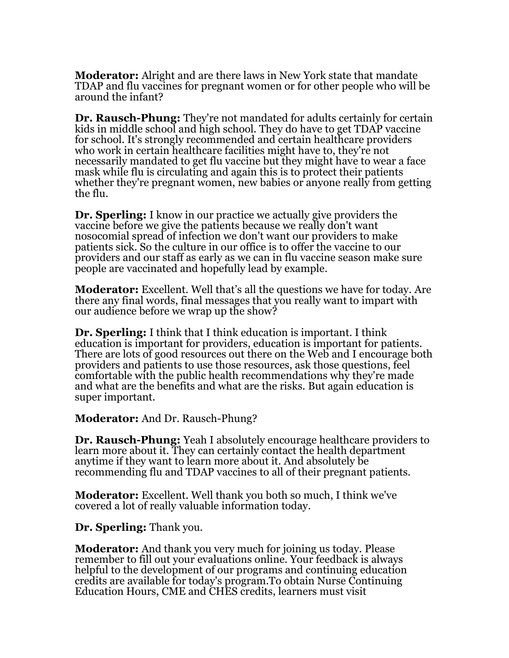**Moderator:** Alright and are there laws in New York state that mandate TDAP and flu vaccines for pregnant women or for other people who will be around the infant?

**Dr. Rausch-Phung:** They're not mandated for adults certainly for certain kids in middle school and high school. They do have to get TDAP vaccine for school. It's strongly recommended and certain healthcare providers who work in certain healthcare facilities might have to, they're not necessarily mandated to get flu vaccine but they might have to wear a face mask while flu is circulating and again this is to protect their patients whether they're pregnant women, new babies or anyone really from getting the flu.

**Dr. Sperling:** I know in our practice we actually give providers the vaccine before we give the patients because we really don't want nosocomial spread of infection we don't want our providers to make patients sick. So the culture in our office is to offer the vaccine to our providers and our staff as early as we can in flu vaccine season make sure people are vaccinated and hopefully lead by example.

**Moderator:** Excellent. Well that's all the questions we have for today. Are there any final words, final messages that you really want to impart with our audience before we wrap up the show?

**Dr. Sperling:** I think that I think education is important. I think education is important for providers, education is important for patients. There are lots of good resources out there on the Web and I encourage both providers and patients to use those resources, ask those questions, feel comfortable with the public health recommendations why they're made and what are the benefits and what are the risks. But again education is super important.

**Moderator:** And Dr. Rausch-Phung?

**Dr. Rausch-Phung:** Yeah I absolutely encourage healthcare providers to learn more about it. They can certainly contact the health department anytime if they want to learn more about it. And absolutely be recommending flu and TDAP vaccines to all of their pregnant patients.

**Moderator:** Excellent. Well thank you both so much, I think we've covered a lot of really valuable information today.

**Dr. Sperling:** Thank you.

**Moderator:** And thank you very much for joining us today. Please remember to fill out your evaluations online. Your feedback is always helpful to the development of our programs and continuing education credits are available for today's program.To obtain Nurse Continuing Education Hours, CME and CHES credits, learners must visit